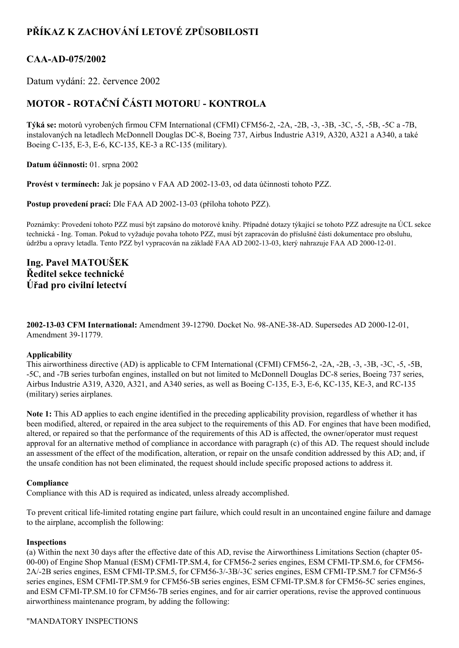# **PŘÍKAZ K ZACHOVÁNÍ LETOVÉ ZPŮSOBILOSTI**

### **CAAAD075/2002**

Datum vydání: 22. července 2002

## **MOTOR ROTAČNÍ ČÁSTI MOTORU KONTROLA**

**Týká se:** motorů vyrobených firmou CFM International (CFMI) CFM56-2, -2A, -2B, -3, -3B, -3C, -5, -5B, -5C a -7B, instalovaných na letadlech McDonnell Douglas DC8, Boeing 737, Airbus Industrie A319, A320, A321 a A340, a také Boeing C-135, E-3, E-6, KC-135, KE-3 a RC-135 (military).

**Datum účinnosti:** 01. srpna 2002

**Provést v termínech:** Jak je popsáno v FAA AD 20021303, od data účinnosti tohoto PZZ.

**Postup provedení prací:** Dle FAA AD 2002-13-03 (příloha tohoto PZZ).

Poznámky: Provedení tohoto PZZ musí být zapsáno do motorové knihy. Případné dotazy týkající se tohoto PZZ adresujte na ÚCL sekce technická Ing. Toman. Pokud to vyžaduje povaha tohoto PZZ, musí být zapracován do příslušné části dokumentace pro obsluhu, údržbu a opravy letadla. Tento PZZ byl vypracován na základě FAA AD 2002-13-03, který nahrazuje FAA AD 2000-12-01.

### **Ing. Pavel MATOUŠEK Ředitel sekce technické Úřad pro civilní letectví**

**2002-13-03 CFM International:** Amendment 39-12790. Docket No. 98-ANE-38-AD. Supersedes AD 2000-12-01, Amendment 39-11779.

#### **Applicability**

This airworthiness directive (AD) is applicable to CFM International (CFMI) CFM56-2, -2A, -2B, -3, -3B, -3C, -5, -5B, 5C, and 7B series turbofan engines, installed on but not limited to McDonnell Douglas DC8 series, Boeing 737 series, Airbus Industrie A319, A320, A321, and A340 series, as well as Boeing C-135, E-3, E-6, KC-135, KE-3, and RC-135 (military) series airplanes.

**Note 1:** This AD applies to each engine identified in the preceding applicability provision, regardless of whether it has been modified, altered, or repaired in the area subject to the requirements of this AD. For engines that have been modified, altered, or repaired so that the performance of the requirements of this AD is affected, the owner/operator must request approval for an alternative method of compliance in accordance with paragraph (c) of this AD. The request should include an assessment of the effect of the modification, alteration, or repair on the unsafe condition addressed by this AD; and, if the unsafe condition has not been eliminated, the request should include specific proposed actions to address it.

#### **Compliance**

Compliance with this AD is required as indicated, unless already accomplished.

To prevent critical life-limited rotating engine part failure, which could result in an uncontained engine failure and damage to the airplane, accomplish the following:

#### **Inspections**

(a) Within the next 30 days after the effective date of this AD, revise the Airworthiness Limitations Section (chapter 05 00-00) of Engine Shop Manual (ESM) CFMI-TP.SM.4, for CFM56-2 series engines, ESM CFMI-TP.SM.6, for CFM56-2A/-2B series engines, ESM CFMI-TP.SM.5, for CFM56-3/-3B/-3C series engines, ESM CFMI-TP.SM.7 for CFM56-5 series engines, ESM CFMI-TP.SM.9 for CFM56-5B series engines, ESM CFMI-TP.SM.8 for CFM56-5C series engines, and ESM CFMI-TP.SM.10 for CFM56-7B series engines, and for air carrier operations, revise the approved continuous airworthiness maintenance program, by adding the following: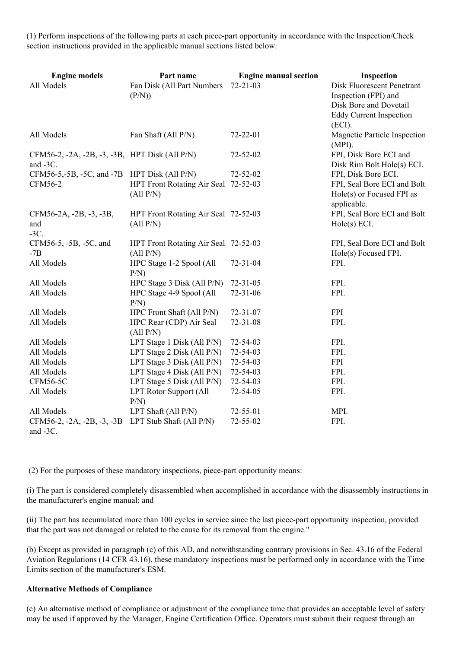$(1)$  Perform inspections of the following parts at each piece-part opportunity in accordance with the Inspection/Check section instructions provided in the applicable manual sections listed below:

| <b>Engine models</b><br>All Models                         | Part name<br>Fan Disk (All Part Numbers<br>(P/N)  | <b>Engine manual section</b><br>$72 - 21 - 03$ | Inspection<br>Disk Fluorescent Penetrant<br>Inspection (FPI) and<br>Disk Bore and Dovetail |
|------------------------------------------------------------|---------------------------------------------------|------------------------------------------------|--------------------------------------------------------------------------------------------|
| All Models                                                 | Fan Shaft (All P/N)                               | 72-22-01                                       | <b>Eddy Current Inspection</b><br>(ECI).<br>Magnetic Particle Inspection                   |
| CFM56-2, -2A, -2B, -3, -3B, HPT Disk (All P/N)<br>and -3C. |                                                   | 72-52-02                                       | $(MPI)$ .<br>FPI, Disk Bore ECI and<br>Disk Rim Bolt Hole(s) ECI.                          |
| $CFM56-5,-5B, -5C,$ and $-7B$ HPT Disk (All P/N)           |                                                   | 72-52-02                                       | FPI, Disk Bore ECI.                                                                        |
| <b>CFM56-2</b>                                             | HPT Front Rotating Air Seal 72-52-03<br>(All P/N) |                                                | FPI, Seal Bore ECI and Bolt<br>Hole(s) or Focused FPI as<br>applicable.                    |
| CFM56-2A, -2B, -3, -3B,<br>and<br>$-3C$ .                  | HPT Front Rotating Air Seal 72-52-03<br>(All P/N) |                                                | FPI, Seal Bore ECI and Bolt<br>Hole(s) ECI.                                                |
| CFM56-5, -5B, -5C, and<br>$-7B$                            | HPT Front Rotating Air Seal 72-52-03<br>(All P/N) |                                                | FPI, Seal Bore ECI and Bolt<br>Hole(s) Focused FPI.                                        |
| All Models                                                 | HPC Stage 1-2 Spool (All<br>P/N                   | $72 - 31 - 04$                                 | FPI.                                                                                       |
| All Models                                                 | HPC Stage 3 Disk (All P/N)                        | $72 - 31 - 05$                                 | FPI.                                                                                       |
| All Models                                                 | HPC Stage 4-9 Spool (All<br>P/N                   | $72 - 31 - 06$                                 | FPI.                                                                                       |
| All Models                                                 | HPC Front Shaft (All P/N)                         | $72 - 31 - 07$                                 | <b>FPI</b>                                                                                 |
| All Models                                                 | HPC Rear (CDP) Air Seal<br>(All P/N)              | $72 - 31 - 08$                                 | FPI.                                                                                       |
| All Models                                                 | LPT Stage 1 Disk (All P/N)                        | 72-54-03                                       | FPI.                                                                                       |
| All Models                                                 | LPT Stage 2 Disk (All $P/N$ )                     | 72-54-03                                       | FPI.                                                                                       |
| All Models                                                 | LPT Stage 3 Disk (All P/N)                        | 72-54-03                                       | <b>FPI</b>                                                                                 |
| All Models                                                 | LPT Stage 4 Disk (All P/N)                        | 72-54-03                                       | FPI.                                                                                       |
| <b>CFM56-5C</b>                                            | LPT Stage 5 Disk (All $P/N$ )                     | 72-54-03                                       | FPI.                                                                                       |
| All Models                                                 | <b>LPT Rotor Support (All</b><br>P/N              | 72-54-05                                       | FPI.                                                                                       |
| All Models                                                 | LPT Shaft (All P/N)                               | 72-55-01                                       | MPI.                                                                                       |
| CFM56-2, -2A, -2B, -3, -3B<br>and $-3C$ .                  | LPT Stub Shaft (All P/N)                          | 72-55-02                                       | FPI.                                                                                       |

(2) For the purposes of these mandatory inspections, piece-part opportunity means:

(i) The part is considered completely disassembled when accomplished in accordance with the disassembly instructions in the manufacturer's engine manual; and

(ii) The part has accumulated more than 100 cycles in service since the last piece-part opportunity inspection, provided that the part was not damaged or related to the cause for its removal from the engine."

(b) Except as provided in paragraph (c) of this AD, and notwithstanding contrary provisions in Sec. 43.16 of the Federal Aviation Regulations (14 CFR 43.16), these mandatory inspections must be performed only in accordance with the Time Limits section of the manufacturer's ESM.

#### **Alternative Methods of Compliance**

(c) An alternative method of compliance or adjustment of the compliance time that provides an acceptable level of safety may be used if approved by the Manager, Engine Certification Office. Operators must submit their request through an